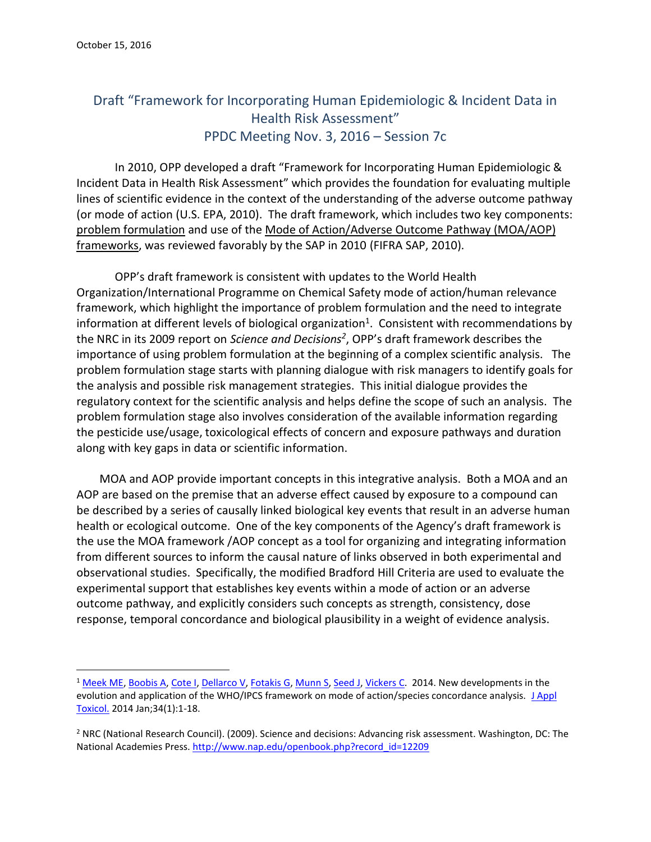$\overline{a}$ 

## Draft "Framework for Incorporating Human Epidemiologic & Incident Data in Health Risk Assessment" PPDC Meeting Nov. 3, 2016 – Session 7c

In 2010, OPP developed a draft "Framework for Incorporating Human Epidemiologic & Incident Data in Health Risk Assessment" which provides the foundation for evaluating multiple lines of scientific evidence in the context of the understanding of the adverse outcome pathway (or mode of action (U.S. EPA, 2010). The draft framework, which includes two key components: problem formulation and use of the Mode of Action/Adverse Outcome Pathway (MOA/AOP) frameworks, was reviewed favorably by the SAP in 2010 (FIFRA SAP, 2010).

OPP's draft framework is consistent with updates to the World Health Organization/International Programme on Chemical Safety mode of action/human relevance framework, which highlight the importance of problem formulation and the need to integrate information at different levels of biological organization<sup>1</sup>. Consistent with recommendations by the NRC in its 2009 report on *Science and Decisions<sup>2</sup>* , OPP's draft framework describes the importance of using problem formulation at the beginning of a complex scientific analysis. The problem formulation stage starts with planning dialogue with risk managers to identify goals for the analysis and possible risk management strategies. This initial dialogue provides the regulatory context for the scientific analysis and helps define the scope of such an analysis. The problem formulation stage also involves consideration of the available information regarding the pesticide use/usage, toxicological effects of concern and exposure pathways and duration along with key gaps in data or scientific information.

MOA and AOP provide important concepts in this integrative analysis. Both a MOA and an AOP are based on the premise that an adverse effect caused by exposure to a compound can be described by a series of causally linked biological key events that result in an adverse human health or ecological outcome. One of the key components of the Agency's draft framework is the use the MOA framework /AOP concept as a tool for organizing and integrating information from different sources to inform the causal nature of links observed in both experimental and observational studies. Specifically, the modified Bradford Hill Criteria are used to evaluate the experimental support that establishes key events within a mode of action or an adverse outcome pathway, and explicitly considers such concepts as strength, consistency, dose response, temporal concordance and biological plausibility in a weight of evidence analysis.

<sup>&</sup>lt;sup>1</sup> [Meek ME,](http://www.ncbi.nlm.nih.gov/pubmed?term=Meek%20ME%5BAuthor%5D&cauthor=true&cauthor_uid=24166207) [Boobis A,](http://www.ncbi.nlm.nih.gov/pubmed?term=Boobis%20A%5BAuthor%5D&cauthor=true&cauthor_uid=24166207) [Cote I,](http://www.ncbi.nlm.nih.gov/pubmed?term=Cote%20I%5BAuthor%5D&cauthor=true&cauthor_uid=24166207) [Dellarco V,](http://www.ncbi.nlm.nih.gov/pubmed?term=Dellarco%20V%5BAuthor%5D&cauthor=true&cauthor_uid=24166207) [Fotakis G,](http://www.ncbi.nlm.nih.gov/pubmed?term=Fotakis%20G%5BAuthor%5D&cauthor=true&cauthor_uid=24166207) [Munn S,](http://www.ncbi.nlm.nih.gov/pubmed?term=Munn%20S%5BAuthor%5D&cauthor=true&cauthor_uid=24166207) [Seed J,](http://www.ncbi.nlm.nih.gov/pubmed?term=Seed%20J%5BAuthor%5D&cauthor=true&cauthor_uid=24166207) [Vickers C.](http://www.ncbi.nlm.nih.gov/pubmed?term=Vickers%20C%5BAuthor%5D&cauthor=true&cauthor_uid=24166207) 2014. New developments in the evolution and application of the WHO/IPCS framework on mode of action/species concordance analysis. J Appl [Toxicol.](http://www.ncbi.nlm.nih.gov/pubmed/24166207) 2014 Jan;34(1):1-18.

<sup>&</sup>lt;sup>2</sup> NRC (National Research Council). (2009). Science and decisions: Advancing risk assessment. Washington, DC: The National Academies Press. [http://www.nap.edu/openbook.php?record\\_id=12209](http://www.nap.edu/openbook.php?record_id=12209)